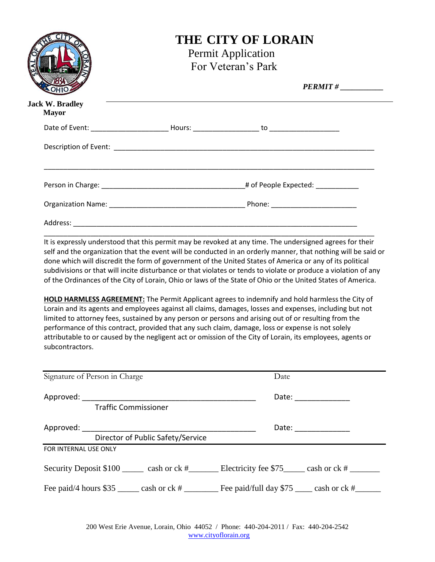|                                        | <b>THE CITY OF LORAIN</b><br><b>Permit Application</b><br>For Veteran's Park<br>$PERMIT # \_\_$ |  |  |
|----------------------------------------|-------------------------------------------------------------------------------------------------|--|--|
| <b>Jack W. Bradley</b><br><b>Mayor</b> |                                                                                                 |  |  |
|                                        |                                                                                                 |  |  |
|                                        |                                                                                                 |  |  |
|                                        |                                                                                                 |  |  |
|                                        |                                                                                                 |  |  |
|                                        |                                                                                                 |  |  |

It is expressly understood that this permit may be revoked at any time. The undersigned agrees for their self and the organization that the event will be conducted in an orderly manner, that nothing will be said or done which will discredit the form of government of the United States of America or any of its political subdivisions or that will incite disturbance or that violates or tends to violate or produce a violation of any of the Ordinances of the City of Lorain, Ohio or laws of the State of Ohio or the United States of America.

**HOLD HARMLESS AGREEMENT:** The Permit Applicant agrees to indemnify and hold harmless the City of Lorain and its agents and employees against all claims, damages, losses and expenses, including but not limited to attorney fees, sustained by any person or persons and arising out of or resulting from the performance of this contract, provided that any such claim, damage, loss or expense is not solely attributable to or caused by the negligent act or omission of the City of Lorain, its employees, agents or subcontractors.

|                       | Signature of Person in Charge                                                                                                                                                                                                 | Date                                                                                                |  |
|-----------------------|-------------------------------------------------------------------------------------------------------------------------------------------------------------------------------------------------------------------------------|-----------------------------------------------------------------------------------------------------|--|
| Approved:             |                                                                                                                                                                                                                               | Date:                                                                                               |  |
|                       | <b>Traffic Commissioner</b>                                                                                                                                                                                                   |                                                                                                     |  |
|                       | Approved: the contract of the contract of the contract of the contract of the contract of the contract of the contract of the contract of the contract of the contract of the contract of the contract of the contract of the | Date: ______________                                                                                |  |
|                       | Director of Public Safety/Service                                                                                                                                                                                             |                                                                                                     |  |
| FOR INTERNAL USE ONLY |                                                                                                                                                                                                                               |                                                                                                     |  |
|                       |                                                                                                                                                                                                                               | Security Deposit \$100 cash or ck # Electricity fee \$75 cash or ck #                               |  |
|                       |                                                                                                                                                                                                                               | Fee paid/4 hours \$35 ______ cash or ck # _________ Fee paid/full day \$75 ____ cash or ck # ______ |  |